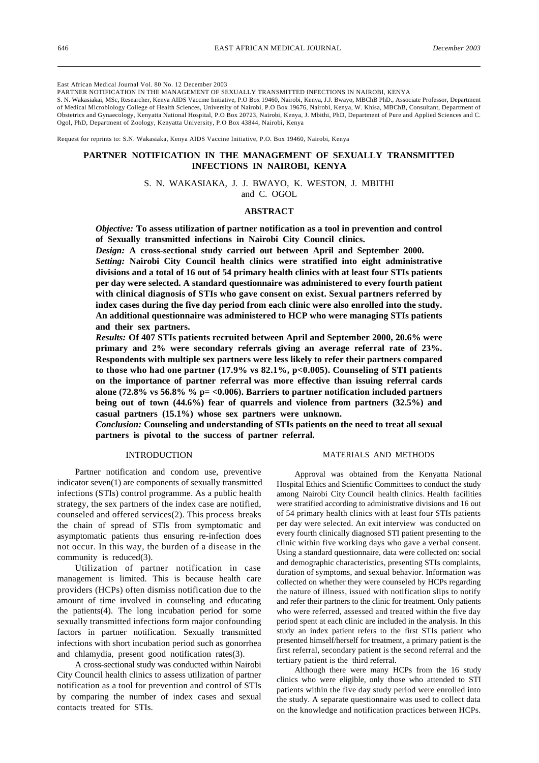East African Medical Journal Vol. 80 No. 12 December 2003

PARTNER NOTIFICATION IN THE MANAGEMENT OF SEXUALLY TRANSMITTED INFECTIONS IN NAIROBI, KENYA

S. N. Wakasiakai, MSc, Researcher, Kenya AIDS Vaccine Initiative, P.O Box 19460, Nairobi, Kenya, J.J. Bwayo, MBChB PhD., Associate Professor, Department of Medical Microbiology College of Health Sciences, University of Nairobi, P.O Box 19676, Nairobi, Kenya, W. Khisa, MBChB, Consultant, Department of Obstetrics and Gynaecology, Kenyatta National Hospital, P.O Box 20723, Nairobi, Kenya, J. Mbithi, PhD, Department of Pure and Applied Sciences and C. Ogol, PhD, Department of Zoology, Kenyatta University, P.O Box 43844, Nairobi, Kenya

Request for reprints to: S.N. Wakasiaka, Kenya AIDS Vaccine Initiative, P.O. Box 19460, Nairobi, Kenya

# **PARTNER NOTIFICATION IN THE MANAGEMENT OF SEXUALLY TRANSMITTED INFECTIONS IN NAIROBI, KENYA**

S. N. WAKASIAKA, J. J. BWAYO, K. WESTON, J. MBITHI and C. OGOL

## **ABSTRACT**

*Objective:* **To assess utilization of partner notification as a tool in prevention and control of Sexually transmitted infections in Nairobi City Council clinics.**

*Design:* **A cross-sectional study carried out between April and September 2000.**

*Setting:* **Nairobi City Council health clinics were stratified into eight administrative divisions and a total of 16 out of 54 primary health clinics with at least four STIs patients per day were selected. A standard questionnaire was administered to every fourth patient with clinical diagnosis of STIs who gave consent on exist. Sexual partners referred by index cases during the five day period from each clinic were also enrolled into the study. An additional questionnaire was administered to HCP who were managing STIs patients and their sex partners.**

*Results:* **Of 407 STIs patients recruited between April and September 2000, 20.6% were primary and 2% were secondary referrals giving an average referral rate of 23%. Respondents with multiple sex partners were less likely to refer their partners compared to those who had one partner (17.9% vs 82.1%, p<0.005). Counseling of STI patients on the importance of partner referral was more effective than issuing referral cards alone (72.8% vs 56.8% % p= <0.006). Barriers to partner notification included partners being out of town (44.6%) fear of quarrels and violence from partners (32.5%) and casual partners (15.1%) whose sex partners were unknown.**

*Conclusion:* **Counseling and understanding of STIs patients on the need to treat all sexual partners is pivotal to the success of partner referral.**

### INTRODUCTION

Partner notification and condom use, preventive indicator seven(1) are components of sexually transmitted infections (STIs) control programme. As a public health strategy, the sex partners of the index case are notified, counseled and offered services(2). This process breaks the chain of spread of STIs from symptomatic and asymptomatic patients thus ensuring re-infection does not occur. In this way, the burden of a disease in the community is reduced(3).

Utilization of partner notification in case management is limited. This is because health care providers (HCPs) often dismiss notification due to the amount of time involved in counseling and educating the patients(4). The long incubation period for some sexually transmitted infections form major confounding factors in partner notification. Sexually transmitted infections with short incubation period such as gonorrhea and chlamydia, present good notification rates(3).

A cross-sectional study was conducted within Nairobi City Council health clinics to assess utilization of partner notification as a tool for prevention and control of STIs by comparing the number of index cases and sexual contacts treated for STIs.

#### MATERIALS AND METHODS

Approval was obtained from the Kenyatta National Hospital Ethics and Scientific Committees to conduct the study among Nairobi City Council health clinics. Health facilities were stratified according to administrative divisions and 16 out of 54 primary health clinics with at least four STIs patients per day were selected. An exit interview was conducted on every fourth clinically diagnosed STI patient presenting to the clinic within five working days who gave a verbal consent. Using a standard questionnaire, data were collected on: social and demographic characteristics, presenting STIs complaints, duration of symptoms, and sexual behavior. Information was collected on whether they were counseled by HCPs regarding the nature of illness, issued with notification slips to notify and refer their partners to the clinic for treatment. Only patients who were referred, assessed and treated within the five day period spent at each clinic are included in the analysis. In this study an index patient refers to the first STIs patient who presented himself/herself for treatment, a primary patient is the first referral, secondary patient is the second referral and the tertiary patient is the third referral.

Although there were many HCPs from the 16 study clinics who were eligible, only those who attended to STI patients within the five day study period were enrolled into the study. A separate questionnaire was used to collect data on the knowledge and notification practices between HCPs.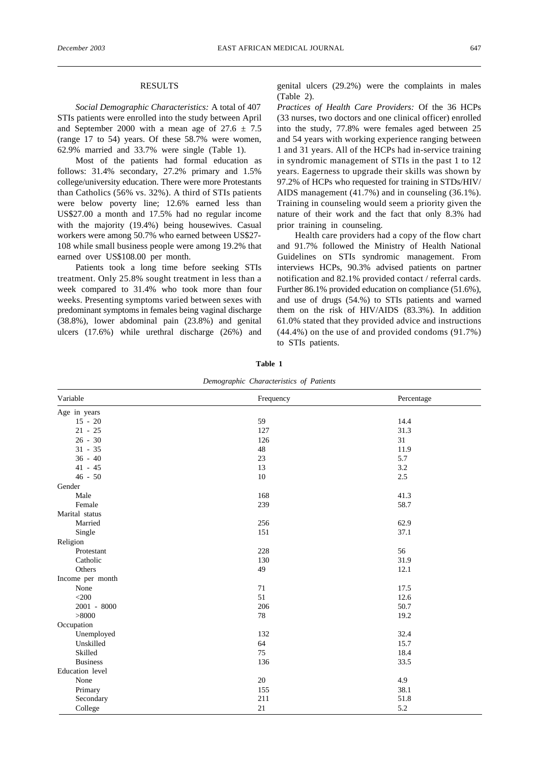## RESULTS

*Social Demographic Characteristics:* A total of 407 STIs patients were enrolled into the study between April and September 2000 with a mean age of  $27.6 \pm 7.5$ (range 17 to 54) years. Of these 58.7% were women, 62.9% married and 33.7% were single (Table 1).

Most of the patients had formal education as follows: 31.4% secondary, 27.2% primary and 1.5% college/university education. There were more Protestants than Catholics (56% vs. 32%). A third of STIs patients were below poverty line; 12.6% earned less than US\$27.00 a month and 17.5% had no regular income with the majority (19.4%) being housewives. Casual workers were among 50.7% who earned between US\$27- 108 while small business people were among 19.2% that earned over US\$108.00 per month.

Patients took a long time before seeking STIs treatment. Only 25.8% sought treatment in less than a week compared to 31.4% who took more than four weeks. Presenting symptoms varied between sexes with predominant symptoms in females being vaginal discharge (38.8%), lower abdominal pain (23.8%) and genital ulcers (17.6%) while urethral discharge (26%) and

genital ulcers (29.2%) were the complaints in males  $(Table 2)$ 

*Practices of Health Care Providers:* Of the 36 HCPs (33 nurses, two doctors and one clinical officer) enrolled into the study, 77.8% were females aged between 25 and 54 years with working experience ranging between 1 and 31 years. All of the HCPs had in-service training in syndromic management of STIs in the past 1 to 12 years. Eagerness to upgrade their skills was shown by 97.2% of HCPs who requested for training in STDs/HIV/ AIDS management (41.7%) and in counseling (36.1%). Training in counseling would seem a priority given the nature of their work and the fact that only 8.3% had prior training in counseling.

Health care providers had a copy of the flow chart and 91.7% followed the Ministry of Health National Guidelines on STIs syndromic management. From interviews HCPs, 90.3% advised patients on partner notification and 82.1% provided contact / referral cards. Further 86.1% provided education on compliance (51.6%), and use of drugs (54.%) to STIs patients and warned them on the risk of HIV/AIDS (83.3%). In addition 61.0% stated that they provided advice and instructions (44.4%) on the use of and provided condoms (91.7%) to STIs patients.

| Demographic Characteristics of Patients |           |            |  |
|-----------------------------------------|-----------|------------|--|
| Variable                                | Frequency | Percentage |  |
| Age in years                            |           |            |  |
| $15 - 20$                               | 59        | 14.4       |  |
| $21 - 25$                               | 127       | 31.3       |  |
| $26 - 30$                               | 126       | 31         |  |
| $31 - 35$                               | $48\,$    | 11.9       |  |
| $36 - 40$                               | 23        | 5.7        |  |
| $41 - 45$                               | 13        | 3.2        |  |
| $46 - 50$                               | $10\,$    | 2.5        |  |
| Gender                                  |           |            |  |
| Male                                    | 168       | 41.3       |  |
| Female                                  | 239       | 58.7       |  |
| Marital status                          |           |            |  |
| Married                                 | 256       | 62.9       |  |
| Single                                  | 151       | 37.1       |  |
| Religion                                |           |            |  |
| Protestant                              | 228       | 56         |  |
| Catholic                                | 130       | 31.9       |  |
| Others                                  | 49        | 12.1       |  |
| Income per month                        |           |            |  |
| None                                    | 71        | 17.5       |  |
| $<$ 200                                 | 51        | 12.6       |  |
| 2001 - 8000                             | 206       | 50.7       |  |
| > 8000                                  | 78        | 19.2       |  |
| Occupation                              |           |            |  |
| Unemployed                              | 132       | 32.4       |  |
| Unskilled                               | 64        | 15.7       |  |
| Skilled                                 | 75        | 18.4       |  |
| <b>Business</b>                         | 136       | 33.5       |  |
| Education level                         |           |            |  |
| None                                    | 20        | 4.9        |  |
| Primary                                 | 155       | 38.1       |  |
| Secondary                               | 211       | 51.8       |  |
| College                                 | 21        | 5.2        |  |

**Table 1**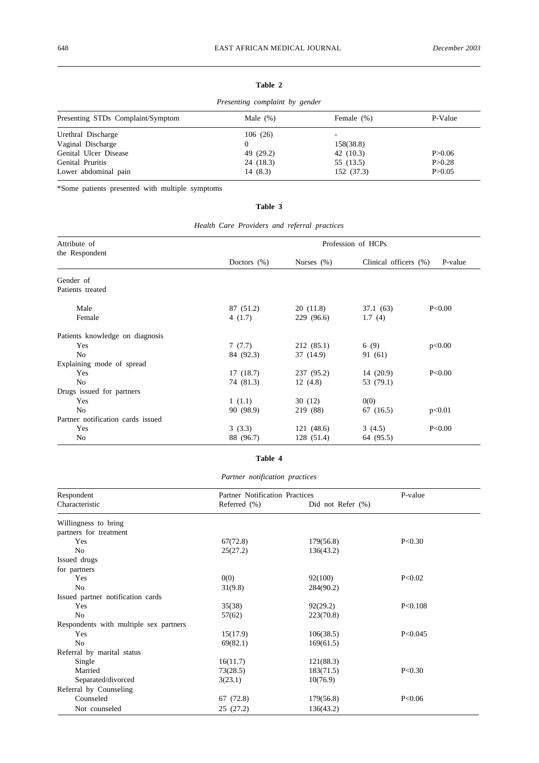# **Table 2**

|                                   | Presenting complaint by gender |            |          |
|-----------------------------------|--------------------------------|------------|----------|
| Presenting STDs Complaint/Symptom | Male $(\%)$                    | Female (%) | P-Value  |
| Urethral Discharge                | 106(26)                        |            |          |
| Vaginal Discharge                 | 0                              | 158(38.8)  |          |
| Genital Ulcer Disease             | 49 (29.2)                      | 42(10.3)   | P > 0.06 |
| Genital Pruritis                  | 24 (18.3)                      | 55 (13.5)  | P > 0.28 |
| Lower abdominal pain              | 14(8.3)                        | 152 (37.3) | P > 0.05 |

\*Some patients presented with multiple symptoms

# **Table 3**

*Health Care Providers and referral practices*

| Attribute of<br>the Respondent                           | Profession of HCPs    |                         |                          |         |
|----------------------------------------------------------|-----------------------|-------------------------|--------------------------|---------|
|                                                          | Doctors $(\%)$        | Nurses $(\%)$           | Clinical officers $(\%)$ | P-value |
| Gender of<br>Patients treated                            |                       |                         |                          |         |
| Male<br>Female                                           | 87 (51.2)<br>4(1.7)   | 20(11.8)<br>229 (96.6)  | 37.1 (63)<br>1.7(4)      | P<0.00  |
| Patients knowledge on diagnosis<br>Yes<br>N <sub>0</sub> | 7(7.7)<br>84 (92.3)   | 212 (85.1)<br>37 (14.9) | 6(9)<br>91 (61)          | p<0.00  |
| Explaining mode of spread<br>Yes<br>N <sub>0</sub>       | 17(18.7)<br>74 (81.3) | 237 (95.2)<br>12(4.8)   | 14(20.9)<br>53 (79.1)    | P<0.00  |
| Drugs issued for partners<br>Yes<br>N <sub>0</sub>       | 1(1.1)<br>90 (98.9)   | 30(12)<br>219 (88)      | 0(0)<br>67 (16.5)        | p<0.01  |
| Partner notification cards issued<br>Yes<br>No           | 3(3.3)<br>88 (96.7)   | 121(48.6)<br>128 (51.4) | 3(4.5)<br>64 (95.5)      | P<0.00  |

# **Table 4**

*Partner notification practices*

| Respondent                             |                 | Partner Notification Practices |           |
|----------------------------------------|-----------------|--------------------------------|-----------|
| Characteristic                         | Referred $(\%)$ | Did not Refer $(\%)$           |           |
| Willingness to bring                   |                 |                                |           |
| partners for treatment                 |                 |                                |           |
| Yes                                    | 67(72.8)        | 179(56.8)                      | P<0.30    |
| N <sub>o</sub>                         | 25(27.2)        | 136(43.2)                      |           |
| Issued drugs                           |                 |                                |           |
| for partners                           |                 |                                |           |
| Yes                                    | 0(0)            | 92(100)                        | P<0.02    |
| N <sub>o</sub>                         | 31(9.8)         | 284(90.2)                      |           |
| Issued partner notification cards      |                 |                                |           |
| Yes                                    | 35(38)          | 92(29.2)                       | P < 0.108 |
| N <sub>0</sub>                         | 57(62)          | 223(70.8)                      |           |
| Respondents with multiple sex partners |                 |                                |           |
| Yes                                    | 15(17.9)        | 106(38.5)                      | P<0.045   |
| No                                     | 69(82.1)        | 169(61.5)                      |           |
| Referral by marital status             |                 |                                |           |
| Single                                 | 16(11.7)        | 121(88.3)                      |           |
| Married                                | 73(28.5)        | 183(71.5)                      | P<0.30    |
| Separated/divorced                     | 3(23.1)         | 10(76.9)                       |           |
| Referral by Counseling                 |                 |                                |           |
| Counseled                              | 67 (72.8)       | 179(56.8)                      | P < 0.06  |
| Not counseled                          | 25 (27.2)       | 136(43.2)                      |           |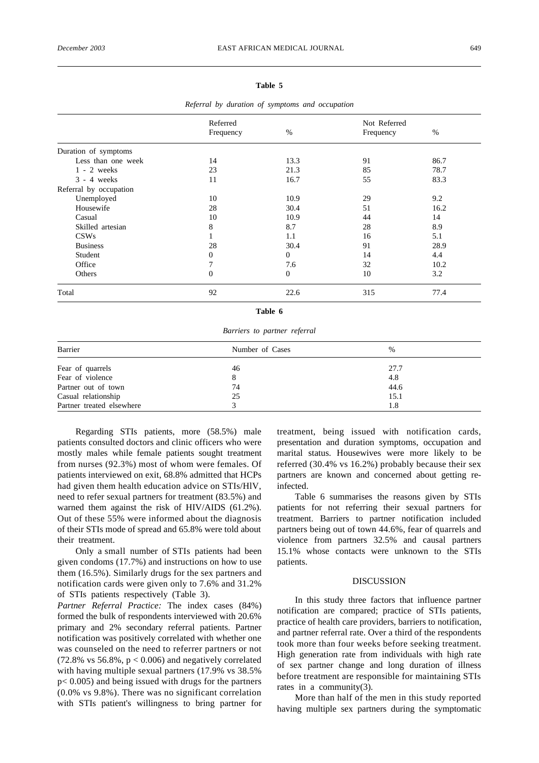## **Table 5**

|                        | Referred       |              | Not Referred |      |
|------------------------|----------------|--------------|--------------|------|
|                        | Frequency      | $\%$         | Frequency    | $\%$ |
| Duration of symptoms   |                |              |              |      |
| Less than one week     | 14             | 13.3         | 91           | 86.7 |
| $1 - 2$ weeks          | 23             | 21.3         | 85           | 78.7 |
| $3 - 4$ weeks          | 11             | 16.7         | 55           | 83.3 |
| Referral by occupation |                |              |              |      |
| Unemployed             | 10             | 10.9         | 29           | 9.2  |
| Housewife              | 28             | 30.4         | 51           | 16.2 |
| Casual                 | 10             | 10.9         | 44           | 14   |
| Skilled artesian       | 8              | 8.7          | 28           | 8.9  |
| CSWs                   |                | 1.1          | 16           | 5.1  |
| <b>Business</b>        | 28             | 30.4         | 91           | 28.9 |
| Student                | 0              | $\mathbf{0}$ | 14           | 4.4  |
| Office                 |                | 7.6          | 32           | 10.2 |
| Others                 | $\overline{0}$ | $\mathbf{0}$ | 10           | 3.2  |
| Total                  | 92             | 22.6         | 315          | 77.4 |

*Referral by duration of symptoms and occupation*

**Table 6**

*Barriers to partner referral*

| Barrier                   | Number of Cases | %    |
|---------------------------|-----------------|------|
| Fear of quarrels          | 46              | 27.7 |
| Fear of violence          |                 | 4.8  |
| Partner out of town       | 74              | 44.6 |
| Casual relationship       | 25              | 15.1 |
| Partner treated elsewhere |                 | 1.8  |

Regarding STIs patients, more (58.5%) male patients consulted doctors and clinic officers who were mostly males while female patients sought treatment from nurses (92.3%) most of whom were females. Of patients interviewed on exit, 68.8% admitted that HCPs had given them health education advice on STIs/HlV, need to refer sexual partners for treatment (83.5%) and warned them against the risk of HIV/AIDS (61.2%). Out of these 55% were informed about the diagnosis of their STIs mode of spread and 65.8% were told about their treatment.

Only a small number of STIs patients had been given condoms (17.7%) and instructions on how to use them (16.5%). Similarly drugs for the sex partners and notification cards were given only to 7.6% and 31.2% of STIs patients respectively (Table 3).

*Partner Referral Practice:* The index cases (84%) formed the bulk of respondents interviewed with 20.6% primary and 2% secondary referral patients. Partner notification was positively correlated with whether one was counseled on the need to referrer partners or not  $(72.8\% \text{ vs } 56.8\%, \text{ p} < 0.006)$  and negatively correlated with having multiple sexual partners (17.9% vs 38.5% p< 0.005) and being issued with drugs for the partners (0.0% vs 9.8%). There was no significant correlation with STIs patient's willingness to bring partner for

treatment, being issued with notification cards, presentation and duration symptoms, occupation and marital status. Housewives were more likely to be referred (30.4% vs 16.2%) probably because their sex partners are known and concerned about getting reinfected.

Table 6 summarises the reasons given by STIs patients for not referring their sexual partners for treatment. Barriers to partner notification included partners being out of town 44.6%, fear of quarrels and violence from partners 32.5% and causal partners 15.1% whose contacts were unknown to the STIs patients.

#### DISCUSSION

In this study three factors that influence partner notification are compared; practice of STIs patients, practice of health care providers, barriers to notification, and partner referral rate. Over a third of the respondents took more than four weeks before seeking treatment. High generation rate from individuals with high rate of sex partner change and long duration of illness before treatment are responsible for maintaining STIs rates in a community $(3)$ .

More than half of the men in this study reported having multiple sex partners during the symptomatic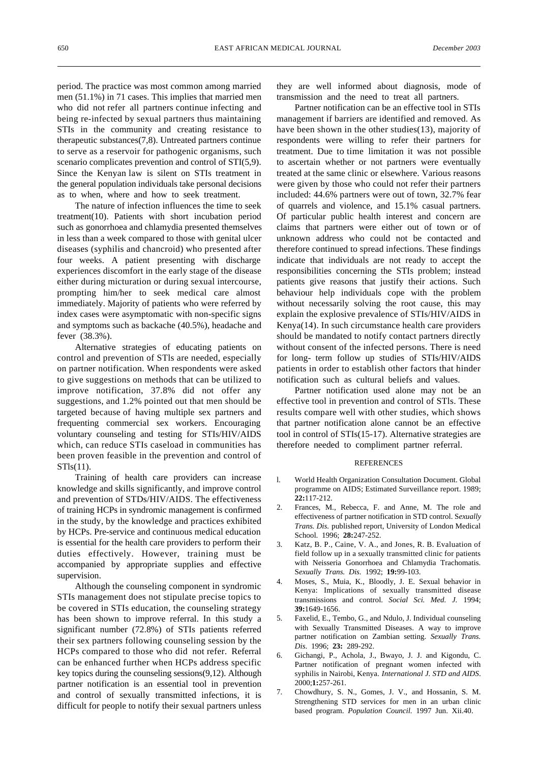period. The practice was most common among married men (51.1%) in 71 cases. This implies that married men who did not refer all partners continue infecting and being re-infected by sexual partners thus maintaining STIs in the community and creating resistance to therapeutic substances(7,8). Untreated partners continue to serve as a reservoir for pathogenic organisms, such scenario complicates prevention and control of STI(5,9). Since the Kenyan law is silent on STIs treatment in the general population individuals take personal decisions as to when, where and how to seek treatment.

The nature of infection influences the time to seek treatment(10). Patients with short incubation period such as gonorrhoea and chlamydia presented themselves in less than a week compared to those with genital ulcer diseases (syphilis and chancroid) who presented after four weeks. A patient presenting with discharge experiences discomfort in the early stage of the disease either during micturation or during sexual intercourse, prompting him/her to seek medical care almost immediately. Majority of patients who were referred by index cases were asymptomatic with non-specific signs and symptoms such as backache (40.5%), headache and fever (38.3%).

Alternative strategies of educating patients on control and prevention of STls are needed, especially on partner notification. When respondents were asked to give suggestions on methods that can be utilized to improve notification, 37.8% did not offer any suggestions, and 1.2% pointed out that men should be targeted because of having multiple sex partners and frequenting commercial sex workers. Encouraging voluntary counseling and testing for STIs/HIV/AIDS which, can reduce STIs caseload in communities has been proven feasible in the prevention and control of STls(11).

Training of health care providers can increase knowledge and skills significantly, and improve control and prevention of STDs/HIV/AIDS. The effectiveness of training HCPs in syndromic management is confirmed in the study, by the knowledge and practices exhibited by HCPs. Pre-service and continuous medical education is essential for the health care providers to perform their duties effectively. However, training must be accompanied by appropriate supplies and effective supervision.

Although the counseling component in syndromic STIs management does not stipulate precise topics to be covered in STIs education, the counseling strategy has been shown to improve referral. In this study a significant number (72.8%) of STIs patients referred their sex partners following counseling session by the HCPs compared to those who did not refer. Referral can be enhanced further when HCPs address specific key topics during the counseling sessions(9,12). Although partner notification is an essential tool in prevention and control of sexually transmitted infections, it is difficult for people to notify their sexual partners unless they are well informed about diagnosis, mode of transmission and the need to treat all partners.

Partner notification can be an effective tool in STIs management if barriers are identified and removed. As have been shown in the other studies(13), majority of respondents were willing to refer their partners for treatment. Due to time limitation it was not possible to ascertain whether or not partners were eventually treated at the same clinic or elsewhere. Various reasons were given by those who could not refer their partners included: 44.6% partners were out of town, 32.7% fear of quarrels and violence, and 15.1% casual partners. Of particular public health interest and concern are claims that partners were either out of town or of unknown address who could not be contacted and therefore continued to spread infections. These findings indicate that individuals are not ready to accept the responsibilities concerning the STIs problem; instead patients give reasons that justify their actions. Such behaviour help individuals cope with the problem without necessarily solving the root cause, this may explain the explosive prevalence of STIs/HIV/AIDS in Kenya(14). In such circumstance health care providers should be mandated to notify contact partners directly without consent of the infected persons. There is need for long- term follow up studies of STIs/HIV/AIDS patients in order to establish other factors that hinder notification such as cultural beliefs and values.

Partner notification used alone may not be an effective tool in prevention and control of STls. These results compare well with other studies, which shows that partner notification alone cannot be an effective tool in control of STIs(15-17). Alternative strategies are therefore needed to compliment partner referral.

#### REFERENCES

- l. World Health Organization Consultation Document. Global programme on AIDS; Estimated Surveillance report. 1989; **22:**117-212.
- 2. Frances, M., Rebecca, F. and Anne, M. The role and effectiveness of partner notification in STD control. S*exually Trans. Dis.* published report, University of London Medical School. 1996; **28:**247-252.
- 3. Katz, B. P., Caine, V. A., and Jones, R. B. Evaluation of field follow up in a sexually transmitted clinic for patients with Neisseria Gonorrhoea and Chlamydia Trachomatis. S*exually Trans. Dis.* 1992; **19:**99-103.
- 4. Moses, S., Muia, K., Bloodly, J. E. Sexual behavior in Kenya: Implications of sexually transmitted disease transmissions and control. *Social Sci. Med. J.* 1994; **39:**1649-1656.
- 5. Faxelid, E., Tembo, G., and Ndulo, J. Individual counseling with Sexually Transmitted Diseases. A way to improve partner notification on Zambian setting. *Sexually Trans. Dis*. 1996; **23:** 289-292.
- 6. Gichangi, P., Achola, J., Bwayo, J. J. and Kigondu, C. Partner notification of pregnant women infected with syphilis in Nairobi, Kenya. *International J. STD and AIDS*. 2000;**1:**257-261.
- 7. Chowdhury, S. N., Gomes, J. V., and Hossanin, S. M. Strengthening STD services for men in an urban clinic based program. *Population Council.* 1997 Jun. Xii.40.